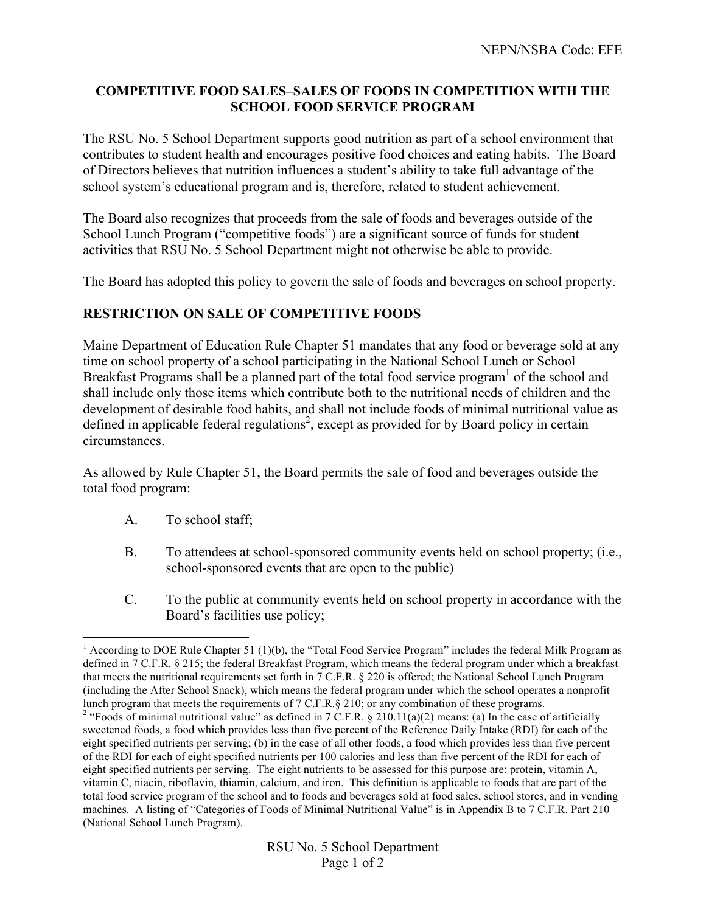## **COMPETITIVE FOOD SALES–SALES OF FOODS IN COMPETITION WITH THE SCHOOL FOOD SERVICE PROGRAM**

The RSU No. 5 School Department supports good nutrition as part of a school environment that contributes to student health and encourages positive food choices and eating habits. The Board of Directors believes that nutrition influences a student's ability to take full advantage of the school system's educational program and is, therefore, related to student achievement.

The Board also recognizes that proceeds from the sale of foods and beverages outside of the School Lunch Program ("competitive foods") are a significant source of funds for student activities that RSU No. 5 School Department might not otherwise be able to provide.

The Board has adopted this policy to govern the sale of foods and beverages on school property.

## **RESTRICTION ON SALE OF COMPETITIVE FOODS**

Maine Department of Education Rule Chapter 51 mandates that any food or beverage sold at any time on school property of a school participating in the National School Lunch or School Breakfast Programs shall be a planned part of the total food service program $<sup>1</sup>$  of the school and</sup> shall include only those items which contribute both to the nutritional needs of children and the development of desirable food habits, and shall not include foods of minimal nutritional value as defined in applicable federal regulations<sup>2</sup>, except as provided for by Board policy in certain circumstances.

As allowed by Rule Chapter 51, the Board permits the sale of food and beverages outside the total food program:

- A. To school staff;
- B. To attendees at school-sponsored community events held on school property; (i.e., school-sponsored events that are open to the public)
- C. To the public at community events held on school property in accordance with the Board's facilities use policy;

<sup>&</sup>lt;sup>1</sup> According to DOE Rule Chapter 51 (1)(b), the "Total Food Service Program" includes the federal Milk Program as defined in 7 C.F.R. § 215; the federal Breakfast Program, which means the federal program under which a breakfast that meets the nutritional requirements set forth in 7 C.F.R. § 220 is offered; the National School Lunch Program (including the After School Snack), which means the federal program under which the school operates a nonprofit lunch program that meets the requirements of  $7 \text{ C.F.R.}$   $\S 210$ ; or any combination of these programs.

<sup>&</sup>lt;sup>2</sup> "Foods of minimal nutritional value" as defined in 7 C.F.R. § 210.11(a)(2) means: (a) In the case of artificially sweetened foods, a food which provides less than five percent of the Reference Daily Intake (RDI) for each of the eight specified nutrients per serving; (b) in the case of all other foods, a food which provides less than five percent of the RDI for each of eight specified nutrients per 100 calories and less than five percent of the RDI for each of eight specified nutrients per serving. The eight nutrients to be assessed for this purpose are: protein, vitamin A, vitamin C, niacin, riboflavin, thiamin, calcium, and iron. This definition is applicable to foods that are part of the total food service program of the school and to foods and beverages sold at food sales, school stores, and in vending machines. A listing of "Categories of Foods of Minimal Nutritional Value" is in Appendix B to 7 C.F.R. Part 210 (National School Lunch Program).